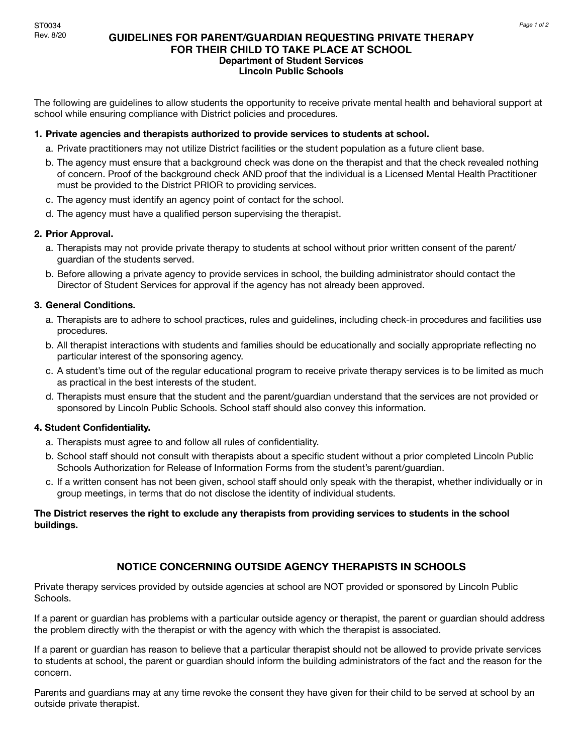# **GUIDELINES FOR PARENT/GUARDIAN REQUESTING PRIVATE THERAPY FOR THEIR CHILD TO TAKE PLACE AT SCHOOL Department of Student Services Lincoln Public Schools**

The following are guidelines to allow students the opportunity to receive private mental health and behavioral support at school while ensuring compliance with District policies and procedures.

### **1. Private agencies and therapists authorized to provide services to students at school.**

- a. Private practitioners may not utilize District facilities or the student population as a future client base.
- b. The agency must ensure that a background check was done on the therapist and that the check revealed nothing of concern. Proof of the background check AND proof that the individual is a Licensed Mental Health Practitioner must be provided to the District PRIOR to providing services.
- c. The agency must identify an agency point of contact for the school.
- d. The agency must have a qualified person supervising the therapist.

#### **2. Prior Approval.**

- a. Therapists may not provide private therapy to students at school without prior written consent of the parent/ guardian of the students served.
- b. Before allowing a private agency to provide services in school, the building administrator should contact the Director of Student Services for approval if the agency has not already been approved.

# **3. General Conditions.**

- a. Therapists are to adhere to school practices, rules and guidelines, including check-in procedures and facilities use procedures.
- b. All therapist interactions with students and families should be educationally and socially appropriate reflecting no particular interest of the sponsoring agency.
- c. A student's time out of the regular educational program to receive private therapy services is to be limited as much as practical in the best interests of the student.
- d. Therapists must ensure that the student and the parent/guardian understand that the services are not provided or sponsored by Lincoln Public Schools. School staff should also convey this information.

### **4. Student Confidentiality.**

- a. Therapists must agree to and follow all rules of confidentiality.
- b. School staff should not consult with therapists about a specific student without a prior completed Lincoln Public Schools Authorization for Release of Information Forms from the student's parent/guardian.
- c. If a written consent has not been given, school staff should only speak with the therapist, whether individually or in group meetings, in terms that do not disclose the identity of individual students.

### **The District reserves the right to exclude any therapists from providing services to students in the school buildings.**

# **NOTICE CONCERNING OUTSIDE AGENCY THERAPISTS IN SCHOOLS**

Private therapy services provided by outside agencies at school are NOT provided or sponsored by Lincoln Public Schools.

If a parent or guardian has problems with a particular outside agency or therapist, the parent or guardian should address the problem directly with the therapist or with the agency with which the therapist is associated.

If a parent or guardian has reason to believe that a particular therapist should not be allowed to provide private services to students at school, the parent or guardian should inform the building administrators of the fact and the reason for the concern.

Parents and guardians may at any time revoke the consent they have given for their child to be served at school by an outside private therapist.